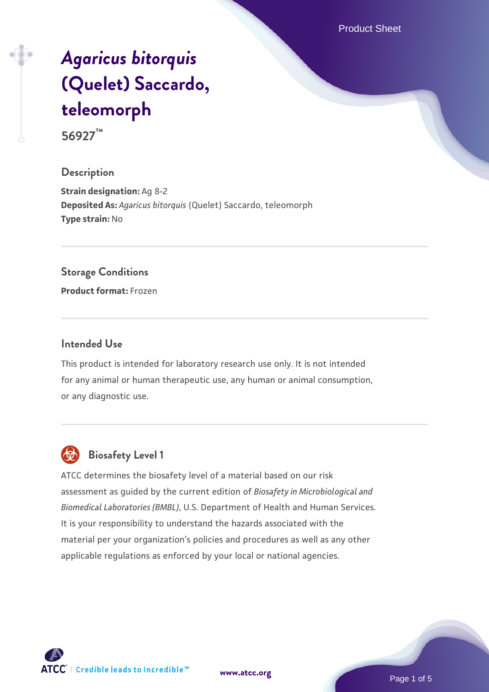Product Sheet

# *[Agaricus bitorquis](https://www.atcc.org/products/56927)* **[\(Quelet\) Saccardo,](https://www.atcc.org/products/56927) [teleomorph](https://www.atcc.org/products/56927)**

**56927™**

#### **Description**

**Strain designation:** Ag 8-2 **Deposited As:** *Agaricus bitorquis* (Quelet) Saccardo, teleomorph **Type strain:** No

#### **Storage Conditions**

**Product format:** Frozen

#### **Intended Use**

This product is intended for laboratory research use only. It is not intended for any animal or human therapeutic use, any human or animal consumption, or any diagnostic use.



# **Biosafety Level 1**

ATCC determines the biosafety level of a material based on our risk assessment as guided by the current edition of *Biosafety in Microbiological and Biomedical Laboratories (BMBL)*, U.S. Department of Health and Human Services. It is your responsibility to understand the hazards associated with the material per your organization's policies and procedures as well as any other applicable regulations as enforced by your local or national agencies.

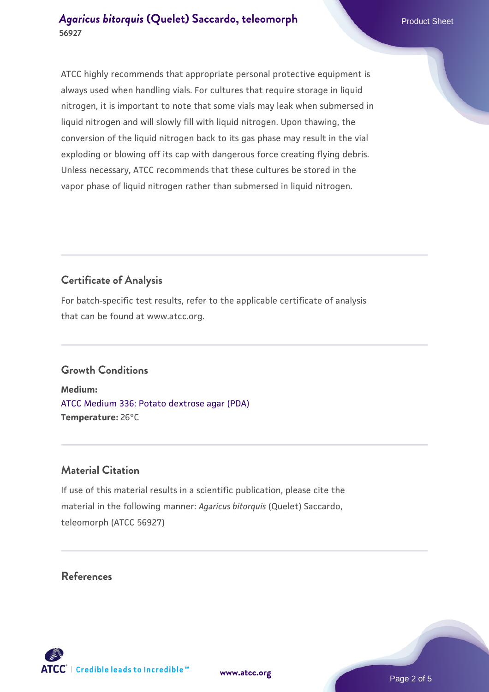ATCC highly recommends that appropriate personal protective equipment is always used when handling vials. For cultures that require storage in liquid nitrogen, it is important to note that some vials may leak when submersed in liquid nitrogen and will slowly fill with liquid nitrogen. Upon thawing, the conversion of the liquid nitrogen back to its gas phase may result in the vial exploding or blowing off its cap with dangerous force creating flying debris. Unless necessary, ATCC recommends that these cultures be stored in the vapor phase of liquid nitrogen rather than submersed in liquid nitrogen.

# **Certificate of Analysis**

For batch-specific test results, refer to the applicable certificate of analysis that can be found at www.atcc.org.

## **Growth Conditions**

**Medium:**  [ATCC Medium 336: Potato dextrose agar \(PDA\)](https://www.atcc.org/-/media/product-assets/documents/microbial-media-formulations/3/3/6/atcc-medium-336.pdf?rev=d9160ad44d934cd8b65175461abbf3b9) **Temperature:** 26°C

## **Material Citation**

If use of this material results in a scientific publication, please cite the material in the following manner: *Agaricus bitorquis* (Quelet) Saccardo, teleomorph (ATCC 56927)

## **References**

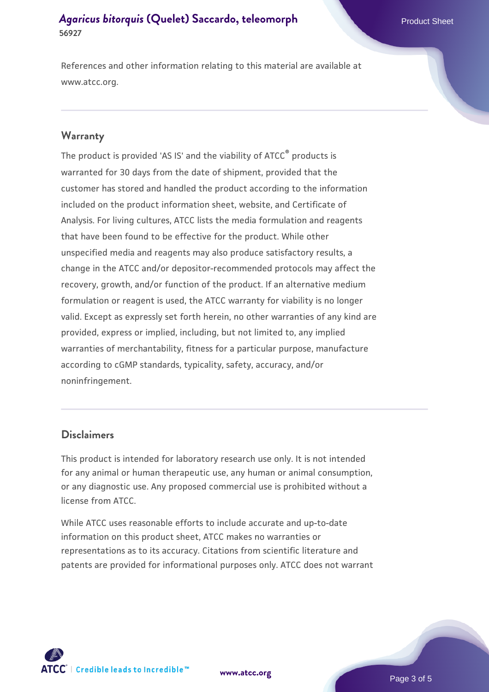References and other information relating to this material are available at www.atcc.org.

#### **Warranty**

The product is provided 'AS IS' and the viability of ATCC® products is warranted for 30 days from the date of shipment, provided that the customer has stored and handled the product according to the information included on the product information sheet, website, and Certificate of Analysis. For living cultures, ATCC lists the media formulation and reagents that have been found to be effective for the product. While other unspecified media and reagents may also produce satisfactory results, a change in the ATCC and/or depositor-recommended protocols may affect the recovery, growth, and/or function of the product. If an alternative medium formulation or reagent is used, the ATCC warranty for viability is no longer valid. Except as expressly set forth herein, no other warranties of any kind are provided, express or implied, including, but not limited to, any implied warranties of merchantability, fitness for a particular purpose, manufacture according to cGMP standards, typicality, safety, accuracy, and/or noninfringement.

#### **Disclaimers**

This product is intended for laboratory research use only. It is not intended for any animal or human therapeutic use, any human or animal consumption, or any diagnostic use. Any proposed commercial use is prohibited without a license from ATCC.

While ATCC uses reasonable efforts to include accurate and up-to-date information on this product sheet, ATCC makes no warranties or representations as to its accuracy. Citations from scientific literature and patents are provided for informational purposes only. ATCC does not warrant



**[www.atcc.org](http://www.atcc.org)**

Page 3 of 5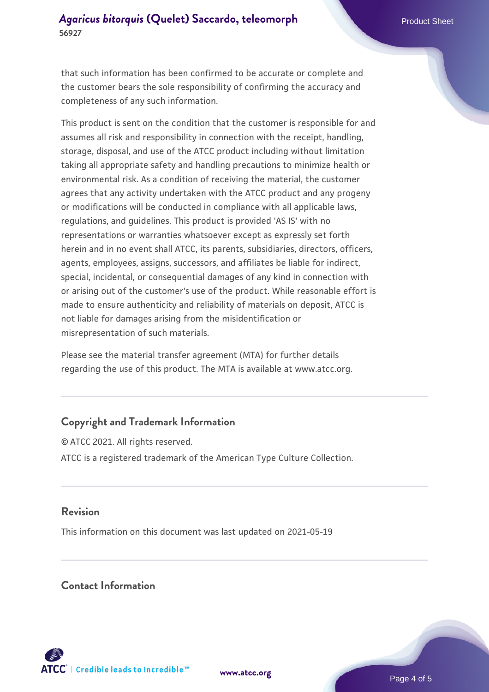that such information has been confirmed to be accurate or complete and the customer bears the sole responsibility of confirming the accuracy and completeness of any such information.

This product is sent on the condition that the customer is responsible for and assumes all risk and responsibility in connection with the receipt, handling, storage, disposal, and use of the ATCC product including without limitation taking all appropriate safety and handling precautions to minimize health or environmental risk. As a condition of receiving the material, the customer agrees that any activity undertaken with the ATCC product and any progeny or modifications will be conducted in compliance with all applicable laws, regulations, and guidelines. This product is provided 'AS IS' with no representations or warranties whatsoever except as expressly set forth herein and in no event shall ATCC, its parents, subsidiaries, directors, officers, agents, employees, assigns, successors, and affiliates be liable for indirect, special, incidental, or consequential damages of any kind in connection with or arising out of the customer's use of the product. While reasonable effort is made to ensure authenticity and reliability of materials on deposit, ATCC is not liable for damages arising from the misidentification or misrepresentation of such materials.

Please see the material transfer agreement (MTA) for further details regarding the use of this product. The MTA is available at www.atcc.org.

## **Copyright and Trademark Information**

© ATCC 2021. All rights reserved. ATCC is a registered trademark of the American Type Culture Collection.

### **Revision**

This information on this document was last updated on 2021-05-19

### **Contact Information**



**[www.atcc.org](http://www.atcc.org)**

Page 4 of 5